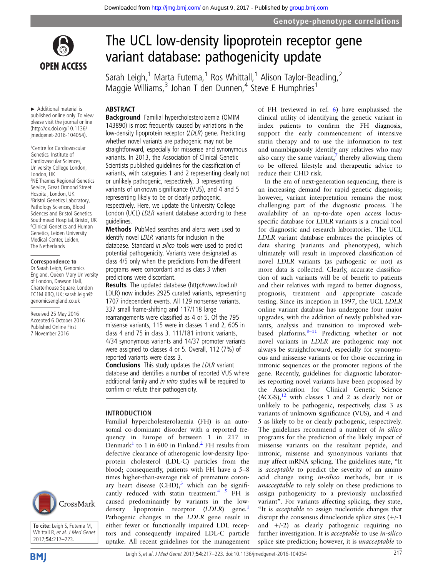

The UCL low-density lipoprotein receptor gene variant database: pathogenicity update

Sarah Leigh,<sup>1</sup> Marta Futema,<sup>1</sup> Ros Whittall,<sup>1</sup> Alison Taylor-Beadling,<sup>2</sup> Maggie Williams,<sup>3</sup> Johan T den Dunnen,<sup>4</sup> Steve E Humphries<sup>1</sup>

► Additional material is published online only. To view please visit the journal online (http://dx.doi.org/10.1136/ jmedgenet-2016-104054).

ABSTRACT

guidelines.

predictions were discordant.

reported variants were class 3.

INTRODUCTION

confirm or refute their pathogenicity.

Background Familial hypercholesterolaemia (OMIM 143890) is most frequently caused by variations in the low-density lipoprotein receptor (LDLR) gene. Predicting whether novel variants are pathogenic may not be straightforward, especially for missense and synonymous variants. In 2013, the Association of Clinical Genetic Scientists published guidelines for the classification of variants, with categories 1 and 2 representing clearly not or unlikely pathogenic, respectively, 3 representing variants of unknown significance (VUS), and 4 and 5 representing likely to be or clearly pathogenic, respectively. Here, we update the University College London (UCL) LDLR variant database according to these

Methods PubMed searches and alerts were used to identify novel LDLR variants for inclusion in the database. Standard in silico tools were used to predict potential pathogenicity. Variants were designated as class 4/5 only when the predictions from the different programs were concordant and as class 3 when

Results The updated database [\(http://www.lovd.nl/](http://www.lovd.nl/LDLR) [LDLR\)](http://www.lovd.nl/LDLR) now includes 2925 curated variants, representing 1707 independent events. All 129 nonsense variants, 337 small frame-shifting and 117/118 large rearrangements were classified as 4 or 5. Of the 795 missense variants, 115 were in classes 1 and 2, 605 in class 4 and 75 in class 3. 111/181 intronic variants, 4/34 synonymous variants and 14/37 promoter variants were assigned to classes 4 or 5. Overall, 112 (7%) of

**Conclusions** This study updates the *LDLR* variant database and identifies a number of reported VUS where additional family and in vitro studies will be required to

Familial hypercholesterolaemia (FH) is an autosomal co-dominant disorder with a reported frequency in Europe of between 1 in 217 in Denmark<sup>[1](#page-5-0)</sup> to 1 in 600 in Finland.<sup>[2](#page-5-0)</sup> FH results from defective clearance of atherogenic low-density lipoprotein cholesterol (LDL-C) particles from the blood; consequently, patients with FH have a 5–8 times higher-than-average risk of premature coronary heart disease  $(CHD)$ ,<sup>[3](#page-5-0)</sup> which can be signifi-cantly reduced with statin treatment.<sup>[4 5](#page-5-0)</sup> FH is caused predominantly by variants in the low-density lipoprotein receptor (LDLR) gene.<sup>[1](#page-5-0)</sup> Pathogenic changes in the LDLR gene result in either fewer or functionally impaired LDL receptors and consequently impaired LDL-C particle uptake. All recent guidelines for the management

1 Centre for Cardiovascular Genetics, Institute of Cardiovascular Sciences, University College London, London, UK 2 NE Thames Regional Genetics Service, Great Ormond Street Hospital, London, UK 3 Bristol Genetics Laboratory, Pathology Sciences, Blood Sciences and Bristol Genetics, Southmead Hospital, Bristol, UK 4 Clinical Genetics and Human Genetics, Leiden University Medical Center, Leiden, The Netherlands

## **Correspondence to**

Dr Sarah Leigh, Genomics England, Queen Mary University of London, Dawson Hall, Charterhouse Square, London EC1M 6BQ, UK; sarah.leigh@ genomicsengland.co.uk

Received 25 May 2016 Accepted 6 October 2016 Published Online First 7 November 2016



of FH (reviewed in ref. [6\)](#page-5-0) have emphasised the clinical utility of identifying the genetic variant in index patients to confirm the FH diagnosis, support the early commencement of intensive statin therapy and to use the information to test and unambiguously identify any relatives who may also carry the same variant, $\frac{7}{1}$  $\frac{7}{1}$  $\frac{7}{1}$  thereby allowing them to be offered lifestyle and therapeutic advice to reduce their CHD risk.

In the era of next-generation sequencing, there is an increasing demand for rapid genetic diagnosis; however, variant interpretation remains the most challenging part of the diagnostic process. The availability of an up-to-date open access locusspecific database for LDLR variants is a crucial tool for diagnostic and research laboratories. The UCL LDLR variant database embraces the principles of data sharing (variants and phenotypes), which ultimately will result in improved classification of novel LDLR variants (as pathogenic or not) as more data is collected. Clearly, accurate classification of such variants will be of benefit to patients and their relatives with regard to better diagnosis, prognosis, treatment and appropriate cascade testing. Since its inception in 1997, the UCL LDLR online variant database has undergone four major upgrades, with the addition of newly published variants, analysis and transition to improved webbased platforms. $8-11$  $8-11$  Predicting whether or not novel variants in LDLR are pathogenic may not always be straightforward, especially for synonymous and missense variants or for those occurring in intronic sequences or the promoter regions of the gene. Recently, guidelines for diagnostic laboratories reporting novel variants have been proposed by the Association for Clinical Genetic Science  $(ACGS),<sup>12</sup>$  $(ACGS),<sup>12</sup>$  $(ACGS),<sup>12</sup>$  with classes 1 and 2 as clearly not or unlikely to be pathogenic, respectively, class 3 as variants of unknown significance (VUS), and 4 and 5 as likely to be or clearly pathogenic, respectively. The guidelines recommend a number of in silico programs for the prediction of the likely impact of missense variants on the resultant peptide, and intronic, missense and synonymous variants that may affect mRNA splicing. The guidelines state, "It is acceptable to predict the severity of an amino acid change using in-silico methods, but it is unacceptable to rely solely on these predictions to assign pathogenicity to a previously unclassified variant". For variants affecting splicing, they state, "It is acceptable to assign nucleotide changes that disrupt the consensus dinucleotide splice sites  $(+/-1)$ and  $+/-2$ ) as clearly pathogenic requiring no further investigation. It is acceptable to use in-silico splice site prediction; however, it is *unacceptable* to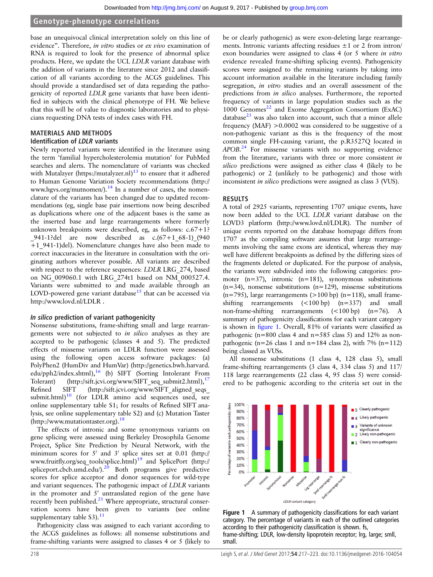base an unequivocal clinical interpretation solely on this line of evidence". Therefore, in vitro studies or ex vivo examination of RNA is required to look for the presence of abnormal splice products. Here, we update the UCL LDLR variant database with the addition of variants in the literature since 2012 and classification of all variants according to the ACGS guidelines. This should provide a standardised set of data regarding the pathogenicity of reported LDLR gene variants that have been identified in subjects with the clinical phenotype of FH. We believe that this will be of value to diagnostic laboratories and to physicians requesting DNA tests of index cases with FH.

# MATERIALS AND METHODS

## Identification of LDLR variants

Newly reported variants were identified in the literature using the term 'familial hypercholesterolemia mutation' for PubMed searches and alerts. The nomenclature of variants was checked with Mutalzyer (<https://mutalyzer.nl>) $^{13}$  $^{13}$  $^{13}$  to ensure that it adhered to Human Genome Variation Society recommendations [\(http://](http://www.hgvs.org/mutnomen/) [www.hgvs.org/mutnomen/](http://www.hgvs.org/mutnomen/) $\lambda$ <sup>[14](#page-5-0)</sup> In a number of cases, the nomenclature of the variants has been changed due to updated recommendations (eg, single base pair insertions now being described as duplications where one of the adjacent bases is the same as the inserted base and large rearrangements where formerly unknown breakpoints were described, eg, as follows: c.67+1? 941-1?del are now described as  $c.(67+168-1)$  (940 +1\_941-1)del). Nomenclature changes have also been made to correct inaccuracies in the literature in consultation with the originating authors wherever possible. All variants are described with respect to the reference sequences: LDLR LRG 274, based on NG\_009060.1 with LRG\_274t1 based on NM\_000527.4. Variants were submitted to and made available through an LOVD-powered gene variant database $15$  that can be accessed via <http://www.lovd.nl/LDLR> .

## In silico prediction of variant pathogenicity

Nonsense substitutions, frame-shifting small and large rearrangements were not subjected to in silico analyses as they are accepted to be pathogenic (classes 4 and 5). The predicted effects of missense variants on LDLR function were assessed using the following open access software packages: (a) PolyPhen2 (HumDiv and HumVar) ([http://genetics.bwh.harvard.](http://genetics.bwh.harvard.edu/pph2/index.shtml) [edu/pph2/index.shtml](http://genetics.bwh.harvard.edu/pph2/index.shtml)),<sup>[16](#page-5-0)</sup> (b) SIFT (Sorting Intolerant From Tolerant) (http://sift.jcvi.org/www/SIFT seq\_submit2.html), $^{17}$ Refined SIFT (http://sift.jcvi.org/www/SIFT aligned seqs [submit.html](http://sift.jcvi.org/www/SIFT_aligned_seqs_submit.html))<sup>[10](#page-5-0)</sup> (for LDLR amino acid sequences used, see online [supplementary table S1;](http://dx.doi.org/10.1136/jmedgenet-2016-104054) for results of Refined SIFT analysis, see online [supplementary table S2\)](http://dx.doi.org/10.1136/jmedgenet-2016-104054) and (c) Mutation Taster ([http://www.mutationtaster.org\)](http://www.mutationtaster.org).[18](#page-5-0)

The effects of intronic and some synonymous variants on gene splicing were assessed using Berkeley Drosophila Genome Project, Splice Site Prediction by Neural Network, with the minimum scores for  $5'$  and  $3'$  splice sites set at 0.01 [\(http://](http://www.fruitfly.org/seq_tools/splice.html)) www.fruitfl[y.org/seq\\_tools/splice.html\)](http://www.fruitfly.org/seq_tools/splice.html))[19](#page-5-0) and SplicePort [\(http://](http://spliceport.cbcb.umd.edu/) [spliceport.cbcb.umd.edu/\)](http://spliceport.cbcb.umd.edu/).<sup>[20](#page-5-0)</sup> Both programs give predictive scores for splice acceptor and donor sequences for wild-type and variant sequences. The pathogenic impact of LDLR variants in the promoter and  $5'$  untranslated region of the gene have recently been published. $21$  Where appropriate, structural conservation scores have been given to variants (see online supplementary table  $S3$ ).<sup>11</sup>

Pathogenicity class was assigned to each variant according to the ACGS guidelines as follows: all nonsense substitutions and frame-shifting variants were assigned to classes 4 or 5 (likely to

be or clearly pathogenic) as were exon-deleting large rearrangements. Intronic variants affecting residues  $\pm 1$  or 2 from intron/ exon boundaries were assigned to class 4 (or 5 where in vitro evidence revealed frame-shifting splicing events). Pathogenicity scores were assigned to the remaining variants by taking into account information available in the literature including family segregation, *in vitro* studies and an overall assessment of the predictions from in silico analyses. Furthermore, the reported frequency of variants in large population studies such as the 1000 Genomes $^{22}$  and Exome Aggregation Consortium (ExAC)  $database<sup>23</sup>$  $database<sup>23</sup>$  $database<sup>23</sup>$  was also taken into account, such that a minor allele frequency (MAF)  $> 0.0002$  was considered to be suggestive of a non-pathogenic variant as this is the frequency of the most common single FH-causing variant, the p.R3527Q located in APOB.<sup>[24](#page-5-0)</sup> For missense variants with no supporting evidence from the literature, variants with three or more consistent in silico predictions were assigned as either class 4 (likely to be pathogenic) or 2 (unlikely to be pathogenic) and those with inconsistent in silico predictions were assigned as class 3 (VUS).

### RESULTS

A total of 2925 variants, representing 1707 unique events, have now been added to the UCL LDLR variant database on the LOVD3 platform [\(http://www.lovd.nl/LDLR](http://www.lovd.nl/LDLR)). The number of unique events reported on the database homepage differs from 1707 as the compiling software assumes that large rearrangements involving the same exons are identical, whereas they may well have different breakpoints as defined by the differing sizes of the fragments deleted or duplicated. For the purpose of analysis, the variants were subdivided into the following categories: promoter  $(n=37)$ , intronic  $(n=181)$ , synonymous substitutions (n=34), nonsense substitutions (n=129), missense substitutions (n=795), large rearrangements ( $>$ 100 bp) (n=118), small frameshifting rearrangements (<100 bp) (n=337) and small non-frame-shifting rearrangements (<100 bp) (n=76). A summary of pathogenicity classifications for each variant category is shown in figure 1. Overall, 81% of variants were classified as pathogenic (n=800 class 4 and n=585 class 5) and 12% as nonpathogenic ( $n=26$  class 1 and  $n=184$  class 2), with 7% ( $n=112$ ) being classed as VUSs.

All nonsense substitutions (1 class 4, 128 class 5), small frame-shifting rearrangements (3 class 4, 334 class 5) and 117/ 118 large rearrangements (22 class 4, 95 class 5) were considered to be pathogenic according to the criteria set out in the



Figure 1 A summary of pathogenicity classifications for each variant category. The percentage of variants in each of the outlined categories according to their pathogenicity classification is shown. fs, frame-shifting; LDLR, low-density lipoprotein receptor; lrg, large; smll, small.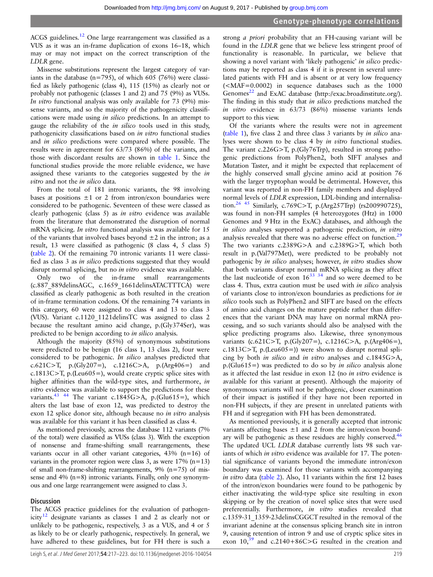ACGS guidelines.[12](#page-5-0) One large rearrangement was classified as a VUS as it was an in-frame duplication of exons 16–18, which may or may not impact on the correct transcription of the LDLR gene.

Missense substitutions represent the largest category of variants in the database (n=795), of which 605 (76%) were classified as likely pathogenic (class 4), 115 (15%) as clearly not or probably not pathogenic (classes 1 and 2) and 75 (9%) as VUSs. In vitro functional analysis was only available for 73 (9%) missense variants, and so the majority of the pathogenicity classifications were made using in silico predictions. In an attempt to gauge the reliability of the in silico tools used in this study, pathogenicity classifications based on in vitro functional studies and in silico predictions were compared where possible. The results were in agreement for 63/73 (86%) of the variants, and those with discordant results are shown in [table 1](#page-3-0). Since the functional studies provide the more reliable evidence, we have assigned these variants to the categories suggested by the in vitro and not the in silico data.

From the total of 181 intronic variants, the 98 involving bases at positions  $\pm 1$  or 2 from intron/exon boundaries were considered to be pathogenic. Seventeen of these were classed as clearly pathogenic (class 5) as in vitro evidence was available from the literature that demonstrated the disruption of normal mRNA splicing. In vitro functional analysis was available for 15 of the variants that involved bases beyond  $\pm 2$  in the intron; as a result, 13 were classified as pathogenic (8 class 4, 5 class 5) ([table 2\)](#page-4-0). Of the remaining 70 intronic variants 11 were classified as class 3 as in silico predictions suggested that they would disrupt normal splicing, but no *in vitro* evidence was available.

Only two of the in-frame small rearrangements (c.887\_889delinsAGC, c.1659\_1661delinsATACTTTCA) were classified as clearly pathogenic as both resulted in the creation of in-frame termination codons. Of the remaining 74 variants in this category, 60 were assigned to class 4 and 13 to class 3 (VUS). Variant c.1120\_1121delinsTC was assigned to class 2 because the resultant amino acid change, p.(Gly374Ser), was predicted to be benign according to in silico analysis.

Although the majority (85%) of synonymous substitutions were predicted to be benign (16 class 1, 13 class 2), four were considered to be pathogenic. In silico analyses predicted that c.621C>T, p.(Gly207=), c.1216C>A, p.(Arg406=) and c.1813C $\geq$ T, p.(Leu605=), would create cryptic splice sites with higher affinities than the wild-type sites, and furthermore, in vitro evidence was available to support the predictions for these variants.<sup>43</sup> <sup>44</sup> The variant c.1845G>A, p.(Glu615=), which alters the last base of exon 12, was predicted to destroy the exon 12 splice donor site, although because no in vitro analysis was available for this variant it has been classified as class 4.

As mentioned previously, across the database 112 variants (7% of the total) were classified as VUSs (class 3). With the exception of nonsense and frame-shifting small rearrangements, these variants occur in all other variant categories, 43% (n=16) of variants in the promoter region were class 3, as were  $17\%$  (n=13) of small non-frame-shifting rearrangements,  $9\%$  (n=75) of missense and 4% (n=8) intronic variants. Finally, only one synonymous and one large rearrangement were assigned to class 3.

#### **Discussion**

The ACGS practice guidelines for the evaluation of pathogen-icity<sup>[12](#page-5-0)</sup> designate variants as classes 1 and 2 as clearly not or unlikely to be pathogenic, respectively, 3 as a VUS, and 4 or 5 as likely to be or clearly pathogenic, respectively. In general, we have adhered to these guidelines, but for FH there is such a

strong *a priori* probability that an FH-causing variant will be found in the LDLR gene that we believe less stringent proof of functionality is reasonable. In particular, we believe that showing a novel variant with 'likely pathogenic' in silico predictions may be reported as class 4 if it is present in several unrelated patients with FH and is absent or at very low frequency (<MAF=0.0002) in sequence databases such as the 1000 Genomes<sup>22</sup> and ExAC database ([http://exac.broadinstitute.org/\)](http://exac.broadinstitute.org/). The finding in this study that *in silico* predictions matched the in vitro evidence in 63/73 (86%) missense variants lends support to this view.

Of the variants where the results were not in agreement ([table 1](#page-3-0)), five class 2 and three class 3 variants by in silico analyses were shown to be class 4 by in vitro functional studies. The variant c.226G>T, p.(Gly76Trp), resulted in strong pathogenic predictions from PolyPhen2, both SIFT analyses and Mutation Taster, and it might be expected that replacement of the highly conserved small glycine amino acid at position 76 with the larger tryptophan would be detrimental. However, this variant was reported in non-FH family members and displayed normal levels of LDLR expression, LDL-binding and internalisa-tion.<sup>[26](#page-5-0)</sup> <sup>45</sup> Similarly, c.769C>T, p.(Arg257Trp) (rs200990725), was found in non-FH samples (4 heterozygotes (Htz) in 1000 Genomes and 9 Htz in the ExAC) databases, and although the in silico analyses supported a pathogenic prediction, in vitro analysis revealed that there was no adverse effect on function.<sup>[29](#page-6-0)</sup> The two variants c.2389G>A and c.2389G>T, which both result in p.(Val797Met), were predicted to be probably not pathogenic by *in silico* analyses; however, *in vitro* studies show that both variants disrupt normal mRNA splicing as they affect the last nucleotide of exon  $16^{33}$  34 and so were deemed to be class 4. Thus, extra caution must be used with in silico analysis of variants close to intron/exon boundaries as predictions for in silico tools such as PolyPhen2 and SIFT are based on the effects of amino acid changes on the mature peptide rather than differences that the variant DNA may have on normal mRNA processing, and so such variants should also be analysed with the splice predicting programs also. Likewise, three synonymous variants (c.621C>T, p.(Gly207=), c.1216C>A, p.(Arg406=), c.1813C>T, p.(Leu605=)) were shown to disrupt normal splicing by both in silico and in vitro analyses and c.1845G>A, p.(Glu615=) was predicted to do so by *in silico* analysis alone as it affected the last residue in exon 12 (no in vitro evidence is available for this variant at present). Although the majority of synonymous variants will not be pathogenic, closer examination of their impact is justified if they have not been reported in non-FH subjects, if they are present in unrelated patients with FH and if segregation with FH has been demonstrated.

As mentioned previously, it is generally accepted that intronic variants affecting bases  $\pm 1$  and 2 from the intron/exon boundary will be pathogenic as these residues are highly conserved. $46$ The updated UCL LDLR database currently lists 98 such variants of which in vitro evidence was available for 17. The potential significance of variants beyond the immediate intron/exon boundary was examined for those variants with accompanying in vitro data [\(table 2\)](#page-4-0). Also, 11 variants within the first 12 bases of the intron/exon boundaries were found to be pathogenic by either inactivating the wild-type splice site resulting in exon skipping or by the creation of novel splice sites that were used preferentially. Furthermore, in vitro studies revealed that c.1359-31\_1359-23delinsCGGCT resulted in the removal of the invariant adenine at the consensus splicing branch site in intron 9, causing retention of intron 9 and use of cryptic splice sites in exon  $10<sup>39</sup>$  and c.2140+86C>G resulted in the creation and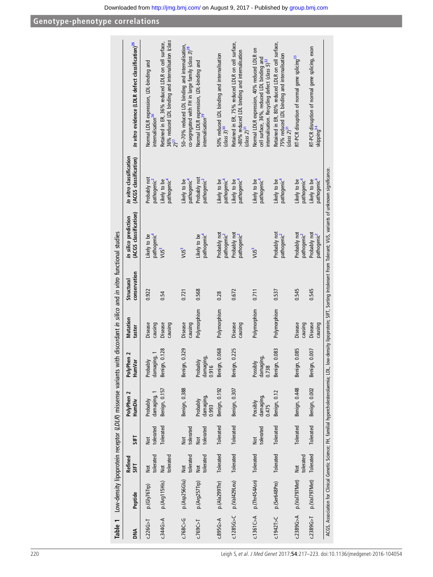<span id="page-3-0"></span>

|             |                         |                        |                  | Table 1 Low-density lipoprotein receptor (LDLR) missense variants with |                                |                           | discordant in silico and in vitro functional studies |                                                                                                                                                                                                  |                                                  |                                                                                                                                                       |
|-------------|-------------------------|------------------------|------------------|------------------------------------------------------------------------|--------------------------------|---------------------------|------------------------------------------------------|--------------------------------------------------------------------------------------------------------------------------------------------------------------------------------------------------|--------------------------------------------------|-------------------------------------------------------------------------------------------------------------------------------------------------------|
| ŠМ          | Peptide                 | Refined<br><b>TEIS</b> | <b>TEIS</b>      | 2<br>PolyPhen<br>HumDiv                                                | 2<br>PolyPhen<br><b>HumVar</b> | Mutation<br>taster        | conservation<br>Structural                           | (ACGS classification)<br>In silico prediction                                                                                                                                                    | In vitro classification<br>(ACGS classification) | In vitro evidence (LDLR defect classification) <sup>25</sup>                                                                                          |
| C.226G > T  | p.(Gly76Trp)            | tolerated<br>Not       | tolerated<br>Not | damaging,<br>Probably                                                  | damaging, 1<br>Probably        | <b>Disease</b><br>causing | 0.922                                                | Likely to be<br>pathogenic <sup>4</sup>                                                                                                                                                          | Probably not<br>pathogenic <sup>2</sup>          | Nomal LDLR expression, LDL-binding and<br>internalisation <sup>26</sup>                                                                               |
| c.344G > A  | p.(Arg115His)           | tolerated<br>Not       | <b>Tolerated</b> | Benign, 0.157                                                          | Benign, 0.128                  | <b>Disease</b><br>causing | 0.54                                                 | $W15^3$                                                                                                                                                                                          | pathogenic <sup>4</sup><br>Likely to be          | 36% reduced LDL binding and internalisation (class<br>Retained in ER, 36% reduced LDLR on cell surface,<br>$2^{27}$                                   |
| c.768C > G  | p.(Asp256Glu)           | tolerated<br>Not       | tolerated<br>Not | Benign, 0.388                                                          | Benign, 0.329                  | <b>Disease</b><br>causing | 0.721                                                | $W15^3$                                                                                                                                                                                          | pathogenic <sup>4</sup><br>Likely to be          | 50-70% reduced LDL binding and internalisation,<br>co-segregated with FH in large family $(dass 3)^{28}$                                              |
| C.769C > T  | p.(Arg257Trp)           | tolerated<br>Not       | tolerated<br>Not | damaging,<br>Probably<br>0.993                                         | damaging,<br>Probably<br>0.916 | Polymorphism              | 0.568                                                | Likely to be<br>pathogenic <sup>4</sup>                                                                                                                                                          | Probably not<br>pathogenic <sup>2</sup>          | Nomal LDLR expression, LDL-binding and<br>internalisation <sup>29</sup>                                                                               |
| 0.895G > A  | p.(Ala299Thr) Tolerated |                        | Tolerated        | Benign, 0.192                                                          | Benign, 0.068                  | Polymorphism              | 0.28                                                 | Probably not<br>pathogenic <sup>2</sup>                                                                                                                                                          | pathogenic <sup>4</sup><br>Likely to be          | 50% reduced LDL binding and internalisation<br>(class 3) <sup>30</sup>                                                                                |
| c.1285G > C | p.(Val429Leu)           | Tolerated              | Tolerated        | Benign, 0.307                                                          | Benign, 0.225                  | <b>Disease</b><br>causing | 0.672                                                | Probably not<br>pathogenic <sup>2</sup>                                                                                                                                                          | pathogenic <sup>4</sup><br>Likely to be          | Retained in ER, 75% reduced LDLR on cell surface,<br>>80% reduced LDL binding and internalisation<br>$(c \text{lass } 2)^{31}$                        |
| c.1361C > A | p.(Thr454Asn) Tolerated |                        | tolerated<br>Not | damaging,<br>Possibly<br>0.475                                         | damaging,<br>Possibly<br>0.738 | Polymorphism              | 0.711                                                | W <sup>3</sup>                                                                                                                                                                                   | pathogenic <sup>4</sup><br>Likely to be          | Nomal LDLR expression, 40% reduced LDLR on<br>cell surface, 36%, reduced LDL binding and<br>internalisation. Recycling defect (class 5) <sup>32</sup> |
| c.1942T > C | p.(Ser648Pro)           | Tolerated              | Tolerated        | Benign, 0.12                                                           | Benign, 0.083                  | Polymorphism              | 0.537                                                | Probably not<br>pathogenic <sup>2</sup>                                                                                                                                                          | pathogenic <sup>4</sup><br>Likely to be          | Retained in ER, 80% reduced LDLR on cell surface,<br>75% reduced LDL binding and internalisation<br>$(class 2)^{31}$                                  |
| c.2389G > A | p.(Val797Met)           | tolerated<br>Not       | Tolerated        | Benign, 0.448                                                          | Benign, 0.085                  | <b>Disease</b><br>causing | 0.545                                                | Probably not<br>pathogenic <sup>2</sup>                                                                                                                                                          | pathogenic <sup>4</sup><br>Likely to be          | RT-PCR disruption of normal gene splicing <sup>33</sup>                                                                                               |
| c.2389G > T | p.(Val797Met)           | Tolerated              | Tolerated        | Benign, 0.002                                                          | Benign, 0.007                  | Disease<br>causing        | 0.545                                                | Probably not<br>pathogenic <sup>2</sup>                                                                                                                                                          | Likely to be<br>pathogenic <sup>4</sup>          | RT-PCR disruption of normal gene splicing, exon<br>skipping <sup>34</sup>                                                                             |
|             |                         |                        |                  |                                                                        |                                |                           |                                                      | ACGS, Association for Clinical Genetic Science; FH, familial hypercholesterolaemia; LDL, low-density lipoprotein; SIFT, Sorting Intolerant From Tolerant; VUS, variants of unknown significance. |                                                  |                                                                                                                                                       |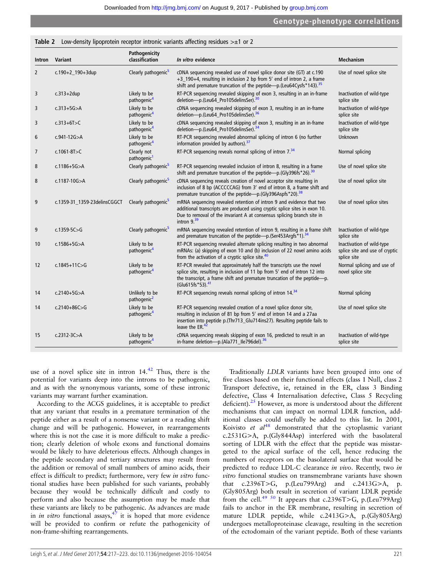### <span id="page-4-0"></span>**Table 2** Low-density lipoprotein receptor intronic variants affecting residues  $> \pm 1$  or 2

| Intron | Variant                      | Pathogenicity<br>classification           | In vitro evidence                                                                                                                                                                                                                                               | <b>Mechanism</b>                                                           |
|--------|------------------------------|-------------------------------------------|-----------------------------------------------------------------------------------------------------------------------------------------------------------------------------------------------------------------------------------------------------------------|----------------------------------------------------------------------------|
| 2      | c.190+2_190+3dup             | Clearly pathogenic <sup>5</sup>           | cDNA sequencing revealed use of novel splice donor site (GT) at c.190<br>+3_190+4, resulting in inclusion 2 bp from 5' end of intron 2, a frame<br>shift and premature truncation of the peptide-p.(Leu64Cysfs*143). <sup>35</sup>                              | Use of novel splice site                                                   |
| 3      | $c.313+2dup$                 | Likely to be<br>pathogenic <sup>4</sup>   | RT-PCR sequencing revealed skipping of exon 3, resulting in an in-frame<br>deletion-p.(Leu64 Pro105delinsSer). <sup>30</sup>                                                                                                                                    | Inactivation of wild-type<br>splice site                                   |
| 3      | $c.313 + 5G > A$             | Likely to be<br>pathogenic <sup>4</sup>   | cDNA sequencing revealed skipping of exon 3, resulting in an in-frame<br>deletion-p.(Leu64_Pro105delinsSer). <sup>36</sup>                                                                                                                                      | Inactivation of wild-type<br>splice site                                   |
| 3      | $c.313+6T > C$               | Likely to be<br>pathogenic <sup>4</sup>   | cDNA sequencing revealed skipping of exon 3, resulting in an in-frame<br>deletion-p.(Leu64_Pro105delinsSer). <sup>34</sup>                                                                                                                                      | Inactivation of wild-type<br>splice site                                   |
| 6      | $c.941 - 12G > A$            | Likely to be<br>pathogenic <sup>4</sup>   | RT-PCR sequencing revealed abnormal splicing of intron 6 (no further<br>information provided by authors). $37$                                                                                                                                                  | Unknown                                                                    |
| 7      | $c.1061 - 8T > C$            | Clearly not<br>pathogenic <sup>1</sup>    | RT-PCR sequencing reveals normal splicing of intron $7^{34}$                                                                                                                                                                                                    | Normal splicing                                                            |
| 8      | c.1186+5G $> A$              | Clearly pathogenic <sup>5</sup>           | RT-PCR sequencing revealed inclusion of intron 8, resulting in a frame<br>shift and premature truncation of the peptide-p. (Gly396fs*26). <sup>30</sup>                                                                                                         | Use of novel splice site                                                   |
| 8      | $c.1187 - 10G > A$           | Clearly pathogenic <sup>5</sup>           | cDNA sequencing reveals creation of novel acceptor site resulting in<br>inclusion of 8 bp (ACCCCCAG) from 3' end of intron 8, a frame shift and<br>premature truncation of the peptide-p.(Gly396Aspfs*20). <sup>38</sup>                                        | Use of novel splice site                                                   |
| 9      | c.1359-31_1359-23delinsCGGCT | Clearly pathogenic <sup>5</sup>           | mRNA sequencing revealed retention of intron 9 and evidence that two<br>additional transcripts are produced using cryptic splice sites in exon 10.<br>Due to removal of the invariant A at consensus splicing branch site in<br>intron $9.39$                   | Use of novel splice sites                                                  |
| 9      | c.1359-5C $>$ G              | Clearly pathogenic <sup>5</sup>           | mRNA sequencing revealed retention of intron 9, resulting in a frame shift<br>and premature truncation of the peptide-p.(Ser453Argfs*1). <sup>34</sup>                                                                                                          | Inactivation of wild-type<br>splice site                                   |
| 10     | $c.1586 + 5G > A$            | Likely to be<br>pathogenic <sup>4</sup>   | RT-PCR sequencing revealed alternate splicing resulting in two abnormal<br>mRNAs: (a) skipping of exon 10 and (b) inclusion of 22 novel amino acids<br>from the activation of a cryptic splice site. <sup>40</sup>                                              | Inactivation of wild-type<br>splice site and use of cryptic<br>splice site |
| 12     | $c.1845 + 11C > G$           | Likely to be<br>pathogenic <sup>4</sup>   | RT-PCR revealed that approximately half the transcripts use the novel<br>splice site, resulting in inclusion of 11 bp from 5' end of intron 12 into<br>the transcript, a frame shift and premature truncation of the peptide-p.<br>(Glu615fs*53). <sup>41</sup> | Normal splicing and use of<br>novel splice site                            |
| 14     | $c.2140 + 5G > A$            | Unlikely to be<br>pathogenic <sup>2</sup> | RT-PCR sequencing reveals normal splicing of intron 14. <sup>34</sup>                                                                                                                                                                                           | Normal splicing                                                            |
| 14     | $c.2140 + 86C > G$           | Likely to be<br>pathogenic <sup>4</sup>   | RT-PCR sequencing revealed creation of a novel splice donor site,<br>resulting in inclusion of 81 bp from 5' end of intron 14 and a 27aa<br>insertion into peptide p.(Thr713_Glu714ins27). Resulting peptide fails to<br>leave the ER. $42$                     | Use of novel splice site                                                   |
| 15     | $c.2312 - 3C > A$            | Likely to be<br>pathogenic <sup>4</sup>   | cDNA sequencing reveals skipping of exon 16, predicted to result in an<br>in-frame deletion-p.(Ala771_Ile796del). <sup>36</sup>                                                                                                                                 | Inactivation of wild-type<br>splice site                                   |

use of a novel splice site in intron  $14.42$  $14.42$  Thus, there is the potential for variants deep into the introns to be pathogenic, and as with the synonymous variants, some of these intronic variants may warrant further examination.

According to the ACGS guidelines, it is acceptable to predict that any variant that results in a premature termination of the peptide either as a result of a nonsense variant or a reading shift change and will be pathogenic. However, in rearrangements where this is not the case it is more difficult to make a prediction; clearly deletion of whole exons and functional domains would be likely to have deleterious effects. Although changes in the peptide secondary and tertiary structures may result from the addition or removal of small numbers of amino acids, their effect is difficult to predict; furthermore, very few in vitro functional studies have been published for such variants, probably because they would be technically difficult and costly to perform and also because the assumption may be made that these variants are likely to be pathogenic. As advances are made in *in vitro* functional assays,  $4^7$  it is hoped that more evidence will be provided to confirm or refute the pathogenicity of non-frame-shifting rearrangements.

Traditionally LDLR variants have been grouped into one of five classes based on their functional effects (class 1 Null, class 2 Transport defective, ie, retained in the ER, class 3 Binding defective, Class 4 Internalisation defective, Class 5 Recycling deficient).<sup>[25](#page-5-0)</sup> However, as more is understood about the different mechanisms that can impact on normal LDLR function, additional classes could usefully be added to this list. In 2001, Koivisto et  $al^{48}$  $al^{48}$  $al^{48}$  demonstrated that the cytoplasmic variant c.2531G>A, p.(Gly844Asp) interfered with the basolateral sorting of LDLR with the effect that the peptide was misstargeted to the apical surface of the cell, hence reducing the numbers of receptors on the basolateral surface that would be predicted to reduce LDL-C clearance in vivo. Recently, two in vitro functional studies on transmembrane variants have shown that  $c.2396T>G$ ,  $p.(Leu799Arg)$  and  $c.2413G>A$ ,  $p.$ (Gly805Arg) both result in secretion of variant LDLR peptide from the cell.<sup>[49 50](#page-6-0)</sup> It appears that c.2396T>G, p.(Leu799Arg) fails to anchor in the ER membrane, resulting in secretion of mature LDLR peptide, while c.2413G>A, p.(Gly805Arg) undergoes metalloproteinase cleavage, resulting in the secretion of the ectodomain of the variant peptide. Both of these variants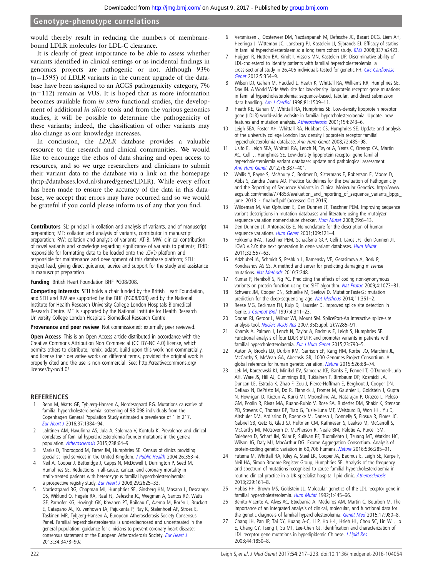<span id="page-5-0"></span>would thereby result in reducing the numbers of membranebound LDLR molecules for LDL-C clearance.

It is clearly of great importance to be able to assess whether variants identified in clinical settings or as incidental findings in genomics projects are pathogenic or not. Although 93%  $(n=1595)$  of *LDLR* variants in the current upgrade of the database have been assigned to an ACGS pathogenicity category, 7% (n=112) remain as VUS. It is hoped that as more information becomes available from in vitro functional studies, the development of additional *in silico* tools and from the various genomics studies, it will be possible to determine the pathogenicity of these variants; indeed, the classification of other variants may also change as our knowledge increases.

In conclusion, the LDLR database provides a valuable resource to the research and clinical communities. We would like to encourage the ethos of data sharing and open access to resources, and so we urge researchers and clinicians to submit their variant data to the database via a link on the homepage (<http://databases.lovd.nl/shared/genes/LDLR>). While every effort has been made to ensure the accuracy of the data in this database, we accept that errors may have occurred and so we would be grateful if you could please inform us of any that you find.

Contributors SL: principal in collation and analysis of variants, and of manuscript preparation; MF: collation and analysis of variants, contributor in manuscript preparation; RW: collation and analysis of variants; AT-B, MW: clinical contribution of novel variants and knowledge regarding significance of variants to patients; JTdD: responsible for formatting data to be loaded onto the LOVD platform and responsible for maintenance and development of this database platform; SEH: project lead, giving direct guidance, advice and support for the study and assistance in manuscript preparation.

Funding British Heart Foundation BHF PG08/008.

Competing interests SEH holds a chair funded by the British Heart Foundation, and SEH and RW are supported by the BHF (PG08/008) and by the National Institute for Health Research University College London Hospitals Biomedical Research Centre. MF is supported by the National Institute for Health Research University College London Hospitals Biomedical Research Centre.

Provenance and peer review Not commissioned; externally peer reviewed.

Open Access This is an Open Access article distributed in accordance with the Creative Commons Attribution Non Commercial (CC BY-NC 4.0) license, which permits others to distribute, remix, adapt, build upon this work non-commercially, and license their derivative works on different terms, provided the original work is properly cited and the use is non-commercial. See: [http://creativecommons.org/](http://creativecommons.org/licenses/by-nc/4.0/) [licenses/by-nc/4.0/](http://creativecommons.org/licenses/by-nc/4.0/)

## REFERENCES

- 1 Benn M, Watts GF, Tybjærg-Hansen A, Nordestgaard BG. Mutations causative of familial hypercholesterolaemia: screening of 98 098 individuals from the Copenhagen General Population Study estimated a prevalence of 1 in 217. [Eur Heart J](http://dx.doi.org/10.1093/eurheartj/ehw028) 2016;37:1384–94.
- 2 Lahtinen AM, Havulinna AS, Jula A, Salomaa V, Kontula K. Prevalence and clinical correlates of familial hypercholesterolemia founder mutations in the general population. [Atherosclerosis](http://dx.doi.org/10.1016/j.atherosclerosis.2014.11.015) 2015;238:64–9.
- 3 Marks D, Thorogood M, Farrer JM, Humphries SE. Census of clinics providing specialist lipid services in the United Kingdom. [J Public Health](http://dx.doi.org/10.1093/pubmed/fdh176) 2004;26:353-4.
- 4 Neil A, Cooper J, Betteridge J, Capps N, McDowell I, Durrington P, Seed M, Humphries SE. Reductions in all-cause, cancer, and coronary mortality in statin-treated patients with heterozygous familial hypercholesterolaemia: a prospective registry study. [Eur Heart J](http://dx.doi.org/10.1093/eurheartj/ehn422) 2008;29:2625-33.
- 5 Nordestgaard BG, Chapman MJ, Humphries SE, Ginsberg HN, Masana L, Descamps OS, Wiklund O, Hegele RA, Raal FJ, Defesche JC, Wiegman A, Santos RD, Watts GF, Parhofer KG, Hovingh GK, Kovanen PT, Boileau C, Averna M, Borén J, Bruckert E, Catapano AL, Kuivenhoven JA, Pajukanta P, Ray K, Stalenhoef AF, Stroes E, Taskinen MR, Tybjærg-Hansen A, European Atherosclerosis Society Consensus Panel. Familial hypercholesterolaemia is underdiagnosed and undertreated in the general population: guidance for clinicians to prevent coronary heart disease: consensus statement of the European Atherosclerosis Society. [Eur Heart J](http://dx.doi.org/10.1093/eurheartj/eht273) 2013;34:3478–90a.
- 6 Versmissen J, Oosterveer DM, Yazdanpanah M, Defesche JC, Basart DCG, Liem AH, Heeringa J, Witteman JC, Lansberg PJ, Kastelein JJ, Sijbrands EJ. Efficacy of statins in familial hypercholesterolaemia: a long term cohort study. **[BMJ](http://dx.doi.org/10.1136/bmj.a2423)** 2008;337:a2423.
- 7 Huijgen R, Hutten BA, Kindt I, Vissers MN, Kastelein JJP. Discriminative ability of LDL-cholesterol to identify patients with familial hypercholesterolemia: a cross-sectional study in 26,406 individuals tested for genetic FH. [Circ Cardiovasc](http://dx.doi.org/10.1161/CIRCGENETICS.111.962456) [Genet](http://dx.doi.org/10.1161/CIRCGENETICS.111.962456) 2012;5:354–9.
- 8 Wilson DJ, Gahan M, Haddad L, Heath K, Whittall RA, Williams RR, Humphries SE, Day IN. A World Wide Web site for low-density lipoprotein receptor gene mutations in familial hypercholesterolemia: sequence-based, tabular, and direct submission data handling. [Am J Cardiol](http://dx.doi.org/10.1016/S0002-9149(98)00215-X) 1998;81:1509–11.
- 9 Heath KE, Gahan M, Whittall RA, Humphries SE. Low-density lipoprotein receptor gene (LDLR) world-wide website in familial hypercholesterolaemia: Update, new features and mutation analysis. [Atherosclerosis](http://dx.doi.org/10.1016/S0021-9150(00)00647-X) 2001;154:243-6.
- Leigh SEA, Foster AH, Whittall RA, Hubbart CS, Humphries SE. Update and analysis of the university college London low density lipoprotein receptor familial hypercholesterolemia database. Ann Hum Genet 2008;72:485–98.
- 11 Usifo E, Leigh SEA, Whittall RA, Lench N, Taylor A, Yeats C, Orengo CA, Martin AC, Celli J, Humphries SE. Low-density lipoprotein receptor gene familial hypercholesterolemia variant database: update and pathological assessment. [Ann Hum Genet](http://dx.doi.org/10.1111/j.1469-1809.2012.00724.x) 2012;76:387–401.
- 12 Wallis Y, Payne S, McAnulty C, Bodmer D, Sistermans E, Robertson E, Moore D, Abbs S, Zandra Deans AD. Practice Guidelines for the Evaluation of Pathogenicity and the Reporting of Sequence Variants in Clinical Molecular Genetics. [http://www.](http://www.acgs.uk.com/media/774853/evaluation_and_reporting_of_sequence_variants_bpgs_june_2013_-_finalpdf.pdf) [acgs.uk.com/media/774853/evaluation\\_and\\_reporting\\_of\\_sequence\\_variants\\_bpgs\\_](http://www.acgs.uk.com/media/774853/evaluation_and_reporting_of_sequence_variants_bpgs_june_2013_-_finalpdf.pdf) [june\\_2013\\_-\\_](http://www.acgs.uk.com/media/774853/evaluation_and_reporting_of_sequence_variants_bpgs_june_2013_-_finalpdf.pdf)finalpdf.pdf (accessed Oct 2016).
- 13 Wildeman M, Van Ophuizen E, Den Dunnen JT, Taschner PEM. Improving sequence variant descriptions in mutation databases and literature using the mutalyzer sequence variation nomenclature checker. [Hum Mutat](http://dx.doi.org/10.1002/humu.20654) 2008;29:6-13.
- 14 Den Dunnen JT, Antonarakis E. Nomenclature for the description of human sequence variations. [Hum Genet](http://dx.doi.org/10.1007/s004390100505) 2001:109:121-4.
- 15 Fokkema IFAC, Taschner PEM, Schaafsma GCP, Celli J, Laros JFJ, den Dunnen JT. LOVD v.2.0: the next generation in gene variant databases. [Hum Mutat](http://dx.doi.org/10.1002/humu.21438) 2011;32:557–63.
- 16 Adzhubei IA, Schmidt S, Peshkin L, Ramensky VE, Gerasimova A, Bork P, Kondrashov AS SS. A method and server for predicting damaging missense mutations. [Nat Methods](http://dx.doi.org/10.1038/nmeth0410-248) 2010;7:248.
- 17 Kumar P, Henikoff S, Ng PC. Predicting the effects of coding non-synonymous variants on protein function using the SIFT algorithm. [Nat Protoc](http://dx.doi.org/10.1038/nprot.2009.86) 2009;4:1073-81.
- 18 Schwarz JM, Cooper DN, Schuelke M, Seelow D. MutationTaster2: mutation prediction for the deep-sequencing age. [Nat Methods](http://dx.doi.org/10.1038/nmeth.2890) 2014;11:361-2.
- 19 Reese MG, Eeckman FH, Kulp D, Haussler D. Improved splice site detection in Genie. [J Comput Biol](http://dx.doi.org/10.1089/cmb.1997.4.311) 1997;4:311–23.
- 20 Dogan RI, Getoor L, Wilbur WJ, Mount SM. SplicePort-An interactive splice-site analysis tool. [Nucleic Acids Res](http://dx.doi.org/10.1093/nar/gkm407) 2007;35(Suppl. 2):W285–91.
- 21 Khamis A, Palmen J, Lench N, Taylor A, Badmus E, Leigh S, Humphries SE. Functional analysis of four LDLR 5'UTR and promoter variants in patients with familial hypercholesterolaemia. [Eur J Hum Genet](http://dx.doi.org/10.1038/ejhg.2014.199) 2015;23:790-5.
- 22 Auton A, Brooks LD, Durbin RM, Garrison EP, Kang HM, Korbel JO, Marchini JL, McCarthy S, McVean GA, Abecasis GR, 1000 Genomes Project Consortium. A global reference for human genetic variation. [Nature](http://dx.doi.org/10.1038/nature15393) 2015;526:68-74.
- 23 Lek M, Karczewski KJ, Minikel EV, Samocha KE, Banks E, Fennell T, O'Donnell-Luria AH, Ware JS, Hill AJ, Cummings BB, Tukiainen T, Birnbaum DP, Kosmicki JA, Duncan LE, Estrada K, Zhao F, Zou J, Pierce-Hoffman E, Berghout J, Cooper DN, Deflaux N, DePristo M, Do R, Flannick J, Fromer M, Gauthier L, Goldstein J, Gupta N, Howrigan D, Kiezun A, Kurki MI, Moonshine AL, Natarajan P, Orozco L, Peloso GM, Poplin R, Rivas MA, Ruano-Rubio V, Rose SA, Ruderfer DM, Shakir K, Stenson PD, Stevens C, Thomas BP, Tiao G, Tusie-Luna MT, Weisburd B, Won HH, Yu D, Altshuler DM, Ardissino D, Boehnke M, Danesh J, Donnelly S, Elosua R, Florez JC, Gabriel SB, Getz G, Glatt SJ, Hultman CM, Kathiresan S, Laakso M, McCarroll S, McCarthy MI, McGovern D, McPherson R, Neale BM, Palotie A, Purcell SM, Saleheen D, Scharf JM, Sklar P, Sullivan PF, Tuomilehto J, Tsuang MT, Watkins HC, Wilson JG, Daly MJ, MacArthur DG. Exome Aggregation Consortium. Analysis of protein-coding genetic variation in 60,706 humans. [Nature](http://dx.doi.org/10.1038/nature19057) 2016;536:285-91.
- Futema M, Whittall RA, Kiley A, Steel LK, Cooper JA, Badmus E, Leigh SE, Karpe F, Neil HA, Simon Broome Register Group, Humphries SE. Analysis of the frequency and spectrum of mutations recognised to cause familial hypercholesterolaemia in routine clinical practice in a UK specialist hospital lipid clinic. [Atherosclerosis](http://dx.doi.org/10.1016/j.atherosclerosis.2013.04.011) 2013;229:161–8.
- 25 Hobbs HH, Brown MS, Goldstein JL. Molecular genetics of the LDL receptor gene in familial hypercholesterolemia. [Hum Mutat](http://dx.doi.org/10.1002/humu.1380010602) 1992;1:445-66.
- 26 Benito-Vicente A, Alves AC, Etxebarria A, Medeiros AM, Martin C, Bourbon M. The importance of an integrated analysis of clinical, molecular, and functional data for the genetic diagnosis of familial hypercholesterolemia. [Genet Med](http://dx.doi.org/10.1038/gim.2015.14) 2015;17:980-8.
- Chang JH, Pan JP, Tai DY, Huang A-C, Li P, Ho H-L, Hsieh HL, Chou SC, Lin WL, Lo E, Chang CY, Tseng J, Su MT, Lee-Chen GJ. Identification and characterization of LDL receptor gene mutations in hyperlipidemic Chinese. [J Lipid Res](http://dx.doi.org/10.1194/jlr.M200470-JLR200) 2003;44:1850–8.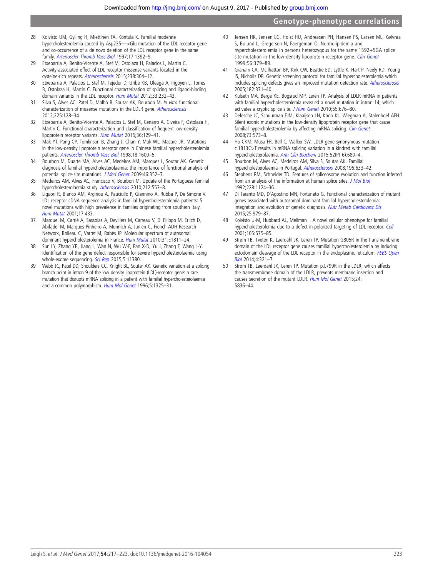- <span id="page-6-0"></span>28 Koivisto UM, Gylling H, Miettinen TA, Kontula K. Familial moderate hypercholesterolemia caused by Asp235—>Glu mutation of the LDL receptor gene and co-occurrence of a de novo deletion of the LDL receptor gene in the same family. [Arterioscler Thromb Vasc Biol](http://dx.doi.org/10.1161/01.ATV.17.7.1392) 1997;17:1392–9.
- 29 Etxebarria A, Benito-Vicente A, Stef M, Ostolaza H, Palacios L, Martin C. Activity-associated effect of LDL receptor missense variants located in the cysteine-rich repeats. [Atherosclerosis](http://dx.doi.org/10.1016/j.atherosclerosis.2014.12.026) 2015;238:304-12.
- 30 Etxebarria A, Palacios L, Stef M, Tejedor D, Uribe KB, Oleaga A, Irigoyen L, Torres B, Ostolaza H, Martin C. Functional characterization of splicing and ligand-binding domain variants in the LDL receptor. [Hum Mutat](http://dx.doi.org/10.1002/humu.21630) 2012;33:232–43.
- 31 Silva S, Alves AC, Patel D, Malhó R, Soutar AK, Bourbon M. In vitro functional characterization of missense mutations in the LDLR gene. [Atherosclerosis](http://dx.doi.org/10.1016/j.atherosclerosis.2012.08.017) 2012;225:128–34.
- 32 Etxebarria A, Benito-Vicente A, Palacios L, Stef M, Cenarro A, Civeira F, Ostolaza H, Martin C. Functional characterization and classification of frequent low-density lipoprotein receptor variants. [Hum Mutat](http://dx.doi.org/10.1002/humu.22721) 2015:36:129-41.
- 33 Mak YT, Pang CP, Tomlinson B, Zhang J, Chan Y, Mak WL, Masarei JR. Mutations in the low-density lipoprotein receptor gene in Chinese familial hypercholesterolemia patients. [Arterioscler Thromb Vasc Biol](http://dx.doi.org/10.1161/01.ATV.18.10.1600) 1998;18:1600–5.
- 34 Bourbon M, Duarte MA, Alves AC, Medeiros AM, Marques L, Soutar AK. Genetic diagnosis of familial hypercholesterolaemia: the importance of functional analysis of potential splice-site mutations. [J Med Genet](http://dx.doi.org/10.1136/jmg.2007.057000) 2009;46:352–7.
- 35 Medeiros AM, Alves AC, Francisco V, Bourbon M. Update of the Portuguese familial hypercholesterolaemia study. [Atherosclerosis](http://dx.doi.org/10.1016/j.atherosclerosis.2010.07.012) 2010;212:553-8.
- 36 Liguori R, Bianco AM, Argiriou A, Pauciullo P, Giannino A, Rubba P, De Simone V. LDL receptor cDNA sequence analysis in familial hypercholesterolemia patients: 5 novel mutations with high prevalence in families originating from southern Italy. [Hum Mutat](http://dx.doi.org/10.1002/humu.1122) 2001;17:433.
- 37 Marduel M, Carrié A, Sassolas A, Devillers M, Carreau V, Di Filippo M, Erlich D, Abifadel M, Marques-Pinheiro A, Munnich A, Junien C, French ADH Research Network, Boileau C, Varret M, Rabès JP. Molecular spectrum of autosomal dominant hypercholesterolemia in France. [Hum Mutat](http://dx.doi.org/10.1002/humu.21348) 2010;31:E1811–24.
- 38 Sun LY, Zhang YB, Jiang L, Wan N, Wu W-F, Pan X-D, Yu J, Zhang F, Wang L-Y. Identification of the gene defect responsible for severe hypercholesterolaemia using whole-exome sequencing. [Sci Rep](http://dx.doi.org/10.1038/srep11380) 2015;5:11380.
- 39 Webb JC, Patel DD, Shoulders CC, Knight BL, Soutar AK. Genetic variation at a splicing branch point in intron 9 of the low density lipoprotein (LDL)-receptor gene: a rare mutation that disrupts mRNA splicing in a patient with familial hypercholesterolaemia and a common polymorphism. [Hum Mol Genet](http://dx.doi.org/10.1093/hmg/5.9.1325) 1996;5:1325-31.
- 40 Jensen HK, Jensen LG, Holst HU, Andreasen PH, Hansen PS, Larsen ML, Kølvraa S, Bolund L, Gregersen N, Faergeman O. Normolipidemia and hypercholesterolemia in persons heterozygous for the same 1592+5GA splice site mutation in the low-density lipoprotein receptor gene. [Clin Genet](http://dx.doi.org/10.1034/j.1399-0004.1999.560506.x) 1999;56:379–89.
- 41 Graham CA, McIlhatton BP, Kirk CW, Beattie ED, Lyttle K, Hart P, Neely RD, Young IS, Nicholls DP. Genetic screening protocol for familial hypercholesterolemia which includes splicing defects gives an improved mutation detection rate. [Atherosclerosis](http://dx.doi.org/10.1016/j.atherosclerosis.2005.02.016) 2005;182:331–40.
- 42 Kulseth MA, Berge KE, Bogsrud MP, Leren TP. Analysis of LDLR mRNA in patients with familial hypercholesterolemia revealed a novel mutation in intron 14, which activates a cryptic splice site. [J Hum Genet](http://dx.doi.org/10.1038/jhg.2010.87) 2010;55:676-80.
- 43 Defesche JC, Schuurman EJM, Klaaijsen LN, Khoo KL, Wiegman A, Stalenhoef AFH. Silent exonic mutations in the low-density lipoprotein receptor gene that cause familial hypercholesterolemia by affecting mRNA splicing. [Clin Genet](http://dx.doi.org/10.1111/j.1399-0004.2008.00999.x) 2008;73:573–8.
- 44 Ho CKM, Musa FR, Bell C, Walker SW. LDLR gene synonymous mutation c.1813C>T results in mRNA splicing variation in a kindred with familial hypercholesterolaemia. [Ann Clin Biochem](http://dx.doi.org/10.1177/0004563215572702) 2015;52(Pt 6):680-4.
- 45 Bourbon M, Alves AC, Medeiros AM, Silva S, Soutar AK. Familial hypercholesterolaemia in Portugal. [Atherosclerosis](http://dx.doi.org/10.1016/j.atherosclerosis.2007.07.019) 2008;196:633-42.
- 46 Stephens RM, Schneider TD. Features of spliceosome evolution and function inferred from an analysis of the information at human splice sites. [J Mol Biol](http://dx.doi.org/10.1016/0022-2836(92)90320-J) 1992;228:1124–36.
- Di Taranto MD, D'Agostino MN, Fortunato G. Functional characterization of mutant genes associated with autosomal dominant familial hypercholesterolemia: integration and evolution of genetic diagnosis. [Nutr Metab Cardiovasc Dis](http://dx.doi.org/10.1016/j.numecd.2015.06.007) 2015;25:979–87.
- 48 Koivisto U-M, Hubbard AL, Mellman I. A novel cellular phenotype for familial hypercholesterolemia due to a defect in polarized targeting of LDL receptor. [Cell](http://dx.doi.org/10.1016/S0092-8674(01)00371-3) 2001;105:575–85.
- 49 Strøm TB, Tveten K, Laerdahl JK, Leren TP. Mutation G805R in the transmembrane domain of the LDL receptor gene causes familial hypercholesterolemia by inducing ectodomain cleavage of the LDL receptor in the endoplasmic reticulum. [FEBS Open](http://dx.doi.org/10.1016/j.fob.2014.03.007) [Biol](http://dx.doi.org/10.1016/j.fob.2014.03.007) 2014;4:321–7.
- 50 Strøm TB, Laerdahl JK, Leren TP. Mutation p.L799R in the LDLR, which affects the transmembrane domain of the LDLR, prevents membrane insertion and causes secretion of the mutant LDLR. [Hum Mol Genet](http://dx.doi.org/10.1093/hmg/ddv304) 2015;24: 5836–44.